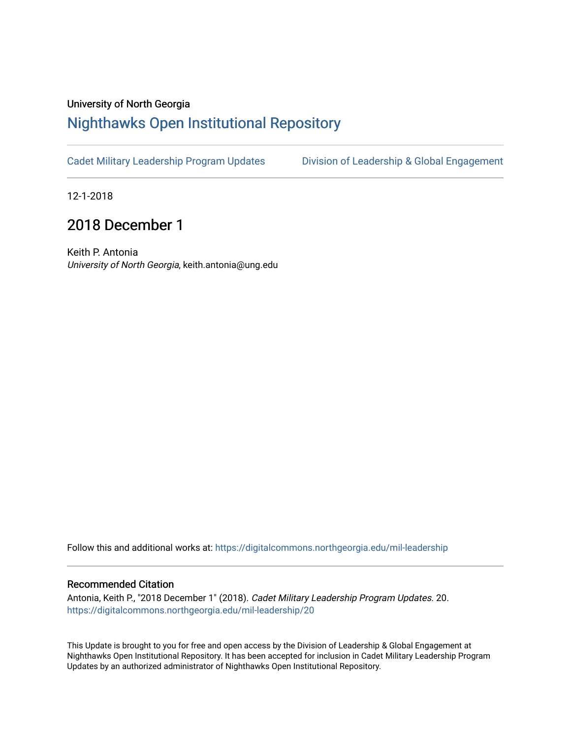## University of North Georgia

## [Nighthawks Open Institutional Repository](https://digitalcommons.northgeorgia.edu/)

[Cadet Military Leadership Program Updates](https://digitalcommons.northgeorgia.edu/mil-leadership) [Division of Leadership & Global Engagement](https://digitalcommons.northgeorgia.edu/leadership) 

12-1-2018

## 2018 December 1

Keith P. Antonia University of North Georgia, keith.antonia@ung.edu

Follow this and additional works at: [https://digitalcommons.northgeorgia.edu/mil-leadership](https://digitalcommons.northgeorgia.edu/mil-leadership?utm_source=digitalcommons.northgeorgia.edu%2Fmil-leadership%2F20&utm_medium=PDF&utm_campaign=PDFCoverPages) 

## Recommended Citation

Antonia, Keith P., "2018 December 1" (2018). Cadet Military Leadership Program Updates. 20. [https://digitalcommons.northgeorgia.edu/mil-leadership/20](https://digitalcommons.northgeorgia.edu/mil-leadership/20?utm_source=digitalcommons.northgeorgia.edu%2Fmil-leadership%2F20&utm_medium=PDF&utm_campaign=PDFCoverPages)

This Update is brought to you for free and open access by the Division of Leadership & Global Engagement at Nighthawks Open Institutional Repository. It has been accepted for inclusion in Cadet Military Leadership Program Updates by an authorized administrator of Nighthawks Open Institutional Repository.